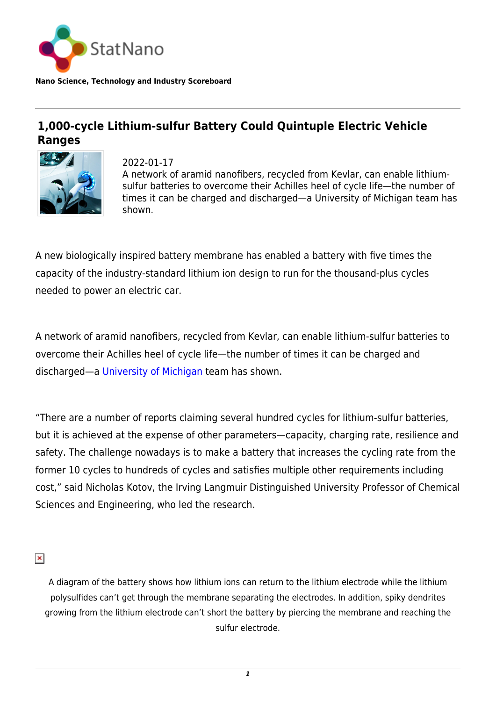

**Nano Science, Technology and Industry Scoreboard**

## **1,000-cycle Lithium-sulfur Battery Could Quintuple Electric Vehicle Ranges**



2022-01-17 A network of aramid nanofibers, recycled from Kevlar, can enable lithiumsulfur batteries to overcome their Achilles heel of cycle life—the number of times it can be charged and discharged—a University of Michigan team has shown.

A new biologically inspired battery membrane has enabled a battery with five times the capacity of the industry-standard lithium ion design to run for the thousand-plus cycles needed to power an electric car.

A network of aramid nanofibers, recycled from Kevlar, can enable lithium-sulfur batteries to overcome their Achilles heel of cycle life—the number of times it can be charged and discharged—a [University of Michigan](https://statnano.com/org/University-of-Michigan) team has shown.

"There are a number of reports claiming several hundred cycles for lithium-sulfur batteries, but it is achieved at the expense of other parameters—capacity, charging rate, resilience and safety. The challenge nowadays is to make a battery that increases the cycling rate from the former 10 cycles to hundreds of cycles and satisfies multiple other requirements including cost," said Nicholas Kotov, the Irving Langmuir Distinguished University Professor of Chemical Sciences and Engineering, who led the research.

 $\pmb{\times}$ 

A diagram of the battery shows how lithium ions can return to the lithium electrode while the lithium polysulfides can't get through the membrane separating the electrodes. In addition, spiky dendrites growing from the lithium electrode can't short the battery by piercing the membrane and reaching the sulfur electrode.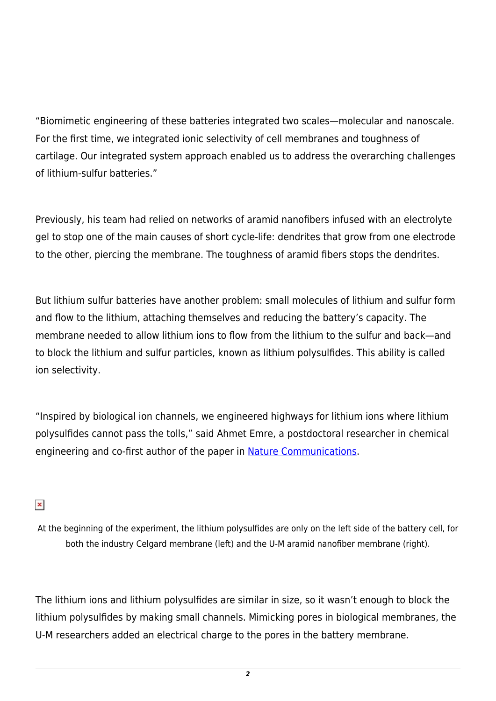"Biomimetic engineering of these batteries integrated two scales—molecular and nanoscale. For the first time, we integrated ionic selectivity of cell membranes and toughness of cartilage. Our integrated system approach enabled us to address the overarching challenges of lithium-sulfur batteries."

Previously, his team had relied on networks of aramid nanofibers infused with an electrolyte gel to stop one of the main causes of short cycle-life: dendrites that grow from one electrode to the other, piercing the membrane. The toughness of aramid fibers stops the dendrites.

But lithium sulfur batteries have another problem: small molecules of lithium and sulfur form and flow to the lithium, attaching themselves and reducing the battery's capacity. The membrane needed to allow lithium ions to flow from the lithium to the sulfur and back—and to block the lithium and sulfur particles, known as lithium polysulfides. This ability is called ion selectivity.

"Inspired by biological ion channels, we engineered highways for lithium ions where lithium polysulfides cannot pass the tolls," said Ahmet Emre, a postdoctoral researcher in chemical engineering and co-first author of the paper in [Nature Communications](https://www.nature.com/articles/s41467-021-27861-w).

 $\pmb{\times}$ 

At the beginning of the experiment, the lithium polysulfides are only on the left side of the battery cell, for both the industry Celgard membrane (left) and the U-M aramid nanofiber membrane (right).

The lithium ions and lithium polysulfides are similar in size, so it wasn't enough to block the lithium polysulfides by making small channels. Mimicking pores in biological membranes, the U-M researchers added an electrical charge to the pores in the battery membrane.